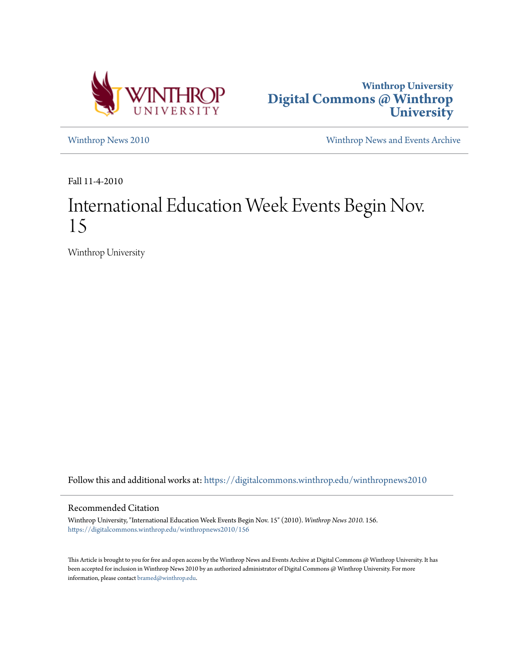



[Winthrop News 2010](https://digitalcommons.winthrop.edu/winthropnews2010?utm_source=digitalcommons.winthrop.edu%2Fwinthropnews2010%2F156&utm_medium=PDF&utm_campaign=PDFCoverPages) [Winthrop News and Events Archive](https://digitalcommons.winthrop.edu/winthropnewsarchives?utm_source=digitalcommons.winthrop.edu%2Fwinthropnews2010%2F156&utm_medium=PDF&utm_campaign=PDFCoverPages)

Fall 11-4-2010

# International Education Week Events Begin Nov. 15

Winthrop University

Follow this and additional works at: [https://digitalcommons.winthrop.edu/winthropnews2010](https://digitalcommons.winthrop.edu/winthropnews2010?utm_source=digitalcommons.winthrop.edu%2Fwinthropnews2010%2F156&utm_medium=PDF&utm_campaign=PDFCoverPages)

# Recommended Citation

Winthrop University, "International Education Week Events Begin Nov. 15" (2010). *Winthrop News 2010*. 156. [https://digitalcommons.winthrop.edu/winthropnews2010/156](https://digitalcommons.winthrop.edu/winthropnews2010/156?utm_source=digitalcommons.winthrop.edu%2Fwinthropnews2010%2F156&utm_medium=PDF&utm_campaign=PDFCoverPages)

This Article is brought to you for free and open access by the Winthrop News and Events Archive at Digital Commons @ Winthrop University. It has been accepted for inclusion in Winthrop News 2010 by an authorized administrator of Digital Commons @ Winthrop University. For more information, please contact [bramed@winthrop.edu](mailto:bramed@winthrop.edu).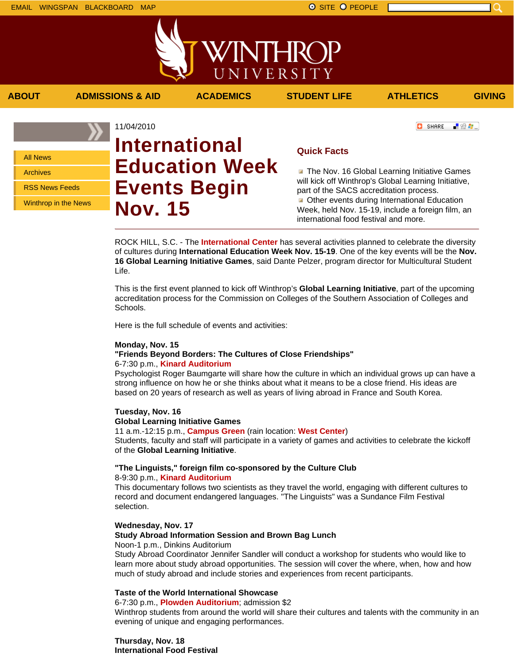

**ABOUT ADMISSIONS & AID ACADEMICS STUDENT LIFE ATHLETICS GIVING**

「验費」

**C** SHARE

All News Archives

RSS News Feeds

Winthrop in the News

11/04/2010 **International Education Week Events Begin Nov. 15**

**Quick Facts**

**The Nov. 16 Global Learning Initiative Games** will kick off Winthrop's Global Learning Initiative, part of the SACS accreditation process. **Other events during International Education** Week, held Nov. 15-19, include a foreign film, an international food festival and more.

ROCK HILL, S.C. - The **International Center** has several activities planned to celebrate the diversity of cultures during **International Education Week Nov. 15-19**. One of the key events will be the **Nov. 16 Global Learning Initiative Games**, said Dante Pelzer, program director for Multicultural Student Life.

This is the first event planned to kick off Winthrop's **Global Learning Initiative**, part of the upcoming accreditation process for the Commission on Colleges of the Southern Association of Colleges and Schools.

Here is the full schedule of events and activities:

## **Monday, Nov. 15 "Friends Beyond Borders: The Cultures of Close Friendships"** 6-7:30 p.m., **Kinard Auditorium**

Psychologist Roger Baumgarte will share how the culture in which an individual grows up can have a strong influence on how he or she thinks about what it means to be a close friend. His ideas are based on 20 years of research as well as years of living abroad in France and South Korea.

**Tuesday, Nov. 16 Global Learning Initiative Games**

11 a.m.-12:15 p.m., **Campus Green** (rain location: **West Center**) Students, faculty and staff will participate in a variety of games and activities to celebrate the kickoff of the **Global Learning Initiative**.

# **"The Linguists," foreign film co-sponsored by the Culture Club**  8-9:30 p.m., **Kinard Auditorium**

This documentary follows two scientists as they travel the world, engaging with different cultures to record and document endangered languages. "The Linguists" was a Sundance Film Festival selection.

# **Wednesday, Nov. 17 Study Abroad Information Session and Brown Bag Lunch**

Noon-1 p.m., Dinkins Auditorium

Study Abroad Coordinator Jennifer Sandler will conduct a workshop for students who would like to learn more about study abroad opportunities. The session will cover the where, when, how and how much of study abroad and include stories and experiences from recent participants.

# **Taste of the World International Showcase**

6-7:30 p.m., **Plowden Auditorium**; admission \$2

Winthrop students from around the world will share their cultures and talents with the community in an evening of unique and engaging performances.

**Thursday, Nov. 18 International Food Festival**